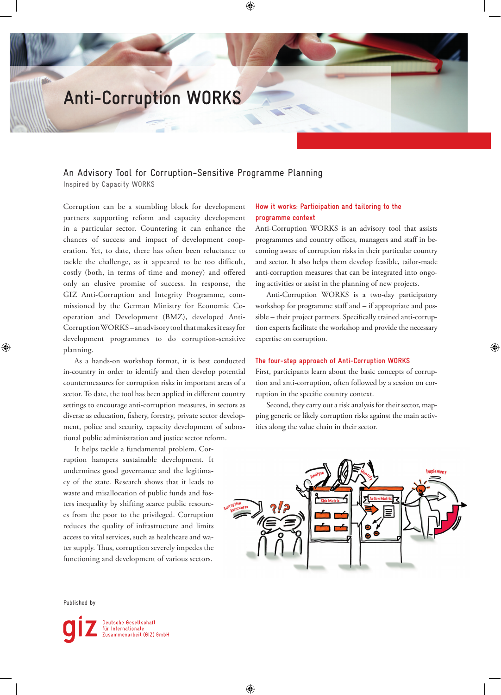# **Anti-Corruption WORKS**

## An Advisory Tool for Corruption-Sensitive Programme Planning

Inspired by Capacity WORKS

Corruption can be a stumbling block for development partners supporting reform and capacity development in a particular sector. Countering it can enhance the chances of success and impact of development cooperation. Yet, to date, there has often been reluctance to tackle the challenge, as it appeared to be too difficult, costly (both, in terms of time and money) and offered only an elusive promise of success. In response, the GIZ Anti-Corruption and Integrity Programme, commissioned by the German Ministry for Economic Cooperation and Development (BMZ), developed Anti-Corruption WORKS – an advisory tool that makes it easy for development programmes to do corruption-sensitive planning.

As a hands-on workshop format, it is best conducted in-country in order to identify and then develop potential countermeasures for corruption risks in important areas of a sector. To date, the tool has been applied in different country settings to encourage anti-corruption measures, in sectors as diverse as education, fishery, forestry, private sector development, police and security, capacity development of subnational public administration and justice sector reform.

It helps tackle a fundamental problem. Corruption hampers sustainable development. It undermines good governance and the legitimacy of the state. Research shows that it leads to waste and misallocation of public funds and fosters inequality by shifting scarce public resources from the poor to the privileged. Corruption reduces the quality of infrastructure and limits access to vital services, such as healthcare and water supply. Thus, corruption severely impedes the functioning and development of various sectors.

Published by

⊕

Deutsche Gesellschaft<br>für Internationale<br>Zusammenarbeit (GIZ) GmbH

### **How it works: Participation and tailoring to the programme context**

Anti-Corruption WORKS is an advisory tool that assists programmes and country offices, managers and staff in becoming aware of corruption risks in their particular country and sector. It also helps them develop feasible, tailor-made anti-corruption measures that can be integrated into ongoing activities or assist in the planning of new projects.

Anti-Corruption WORKS is a two-day participatory workshop for programme staff and – if appropriate and possible – their project partners. Specifically trained anti-corruption experts facilitate the workshop and provide the necessary expertise on corruption.

⊕

#### **The four-step approach of Anti-Corruption WORKS**

First, participants learn about the basic concepts of corruption and anti-corruption, often followed by a session on corruption in the specific country context.

Second, they carry out a risk analysis for their sector, mapping generic or likely corruption risks against the main activities along the value chain in their sector.



⊕

⊕